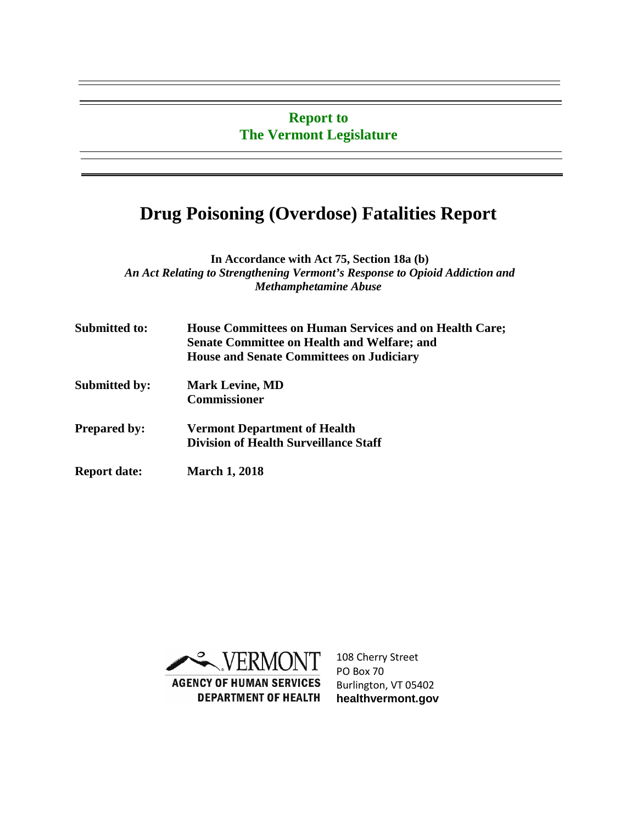### **Report to The Vermont Legislature**

# **Drug Poisoning (Overdose) Fatalities Report**

**In Accordance with Act 75, Section 18a (b)** *An Act Relating to Strengthening Vermont's Response to Opioid Addiction and Methamphetamine Abuse*

| <b>Submitted to:</b> | <b>House Committees on Human Services and on Health Care;</b><br><b>Senate Committee on Health and Welfare; and</b><br><b>House and Senate Committees on Judiciary</b> |
|----------------------|------------------------------------------------------------------------------------------------------------------------------------------------------------------------|
| <b>Submitted by:</b> | <b>Mark Levine, MD</b><br><b>Commissioner</b>                                                                                                                          |
| <b>Prepared by:</b>  | <b>Vermont Department of Health</b><br><b>Division of Health Surveillance Staff</b>                                                                                    |
| <b>Report date:</b>  | <b>March 1, 2018</b>                                                                                                                                                   |



108 Cherry Street PO Box 70 Burlington, VT 05402 **healthvermont.gov**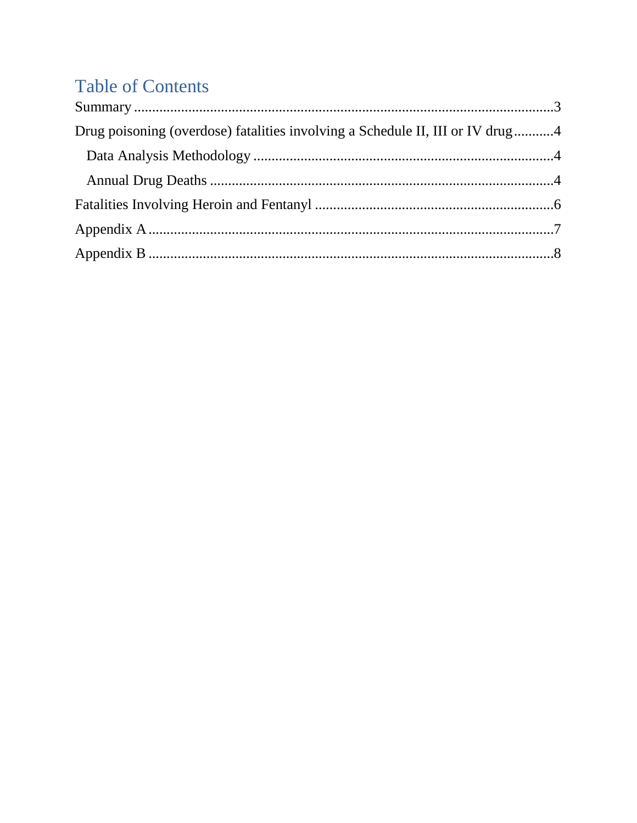# **Table of Contents**

| Drug poisoning (overdose) fatalities involving a Schedule II, III or IV drug4 |  |
|-------------------------------------------------------------------------------|--|
|                                                                               |  |
|                                                                               |  |
|                                                                               |  |
|                                                                               |  |
|                                                                               |  |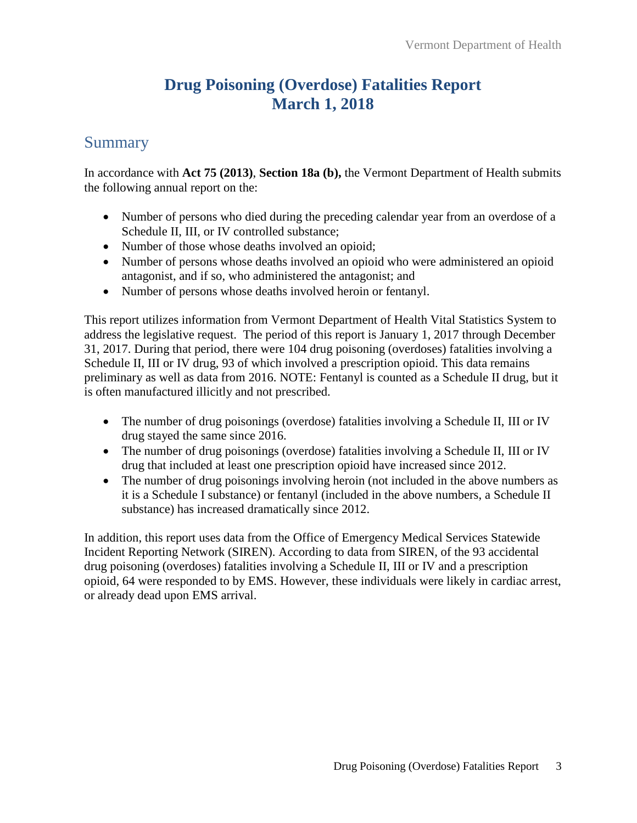### **Drug Poisoning (Overdose) Fatalities Report March 1, 2018**

### <span id="page-2-0"></span>Summary

In accordance with **Act 75 (2013)**, **Section 18a (b),** the Vermont Department of Health submits the following annual report on the:

- Number of persons who died during the preceding calendar year from an overdose of a Schedule II, III, or IV controlled substance;
- Number of those whose deaths involved an opioid;
- Number of persons whose deaths involved an opioid who were administered an opioid antagonist, and if so, who administered the antagonist; and
- Number of persons whose deaths involved heroin or fentanyl.

This report utilizes information from Vermont Department of Health Vital Statistics System to address the legislative request. The period of this report is January 1, 2017 through December 31, 2017. During that period, there were 104 drug poisoning (overdoses) fatalities involving a Schedule II, III or IV drug, 93 of which involved a prescription opioid. This data remains preliminary as well as data from 2016. NOTE: Fentanyl is counted as a Schedule II drug, but it is often manufactured illicitly and not prescribed.

- The number of drug poisonings (overdose) fatalities involving a Schedule II, III or IV drug stayed the same since 2016.
- The number of drug poisonings (overdose) fatalities involving a Schedule II, III or IV drug that included at least one prescription opioid have increased since 2012.
- The number of drug poisonings involving heroin (not included in the above numbers as it is a Schedule I substance) or fentanyl (included in the above numbers, a Schedule II substance) has increased dramatically since 2012.

In addition, this report uses data from the Office of Emergency Medical Services Statewide Incident Reporting Network (SIREN). According to data from SIREN, of the 93 accidental drug poisoning (overdoses) fatalities involving a Schedule II, III or IV and a prescription opioid, 64 were responded to by EMS. However, these individuals were likely in cardiac arrest, or already dead upon EMS arrival.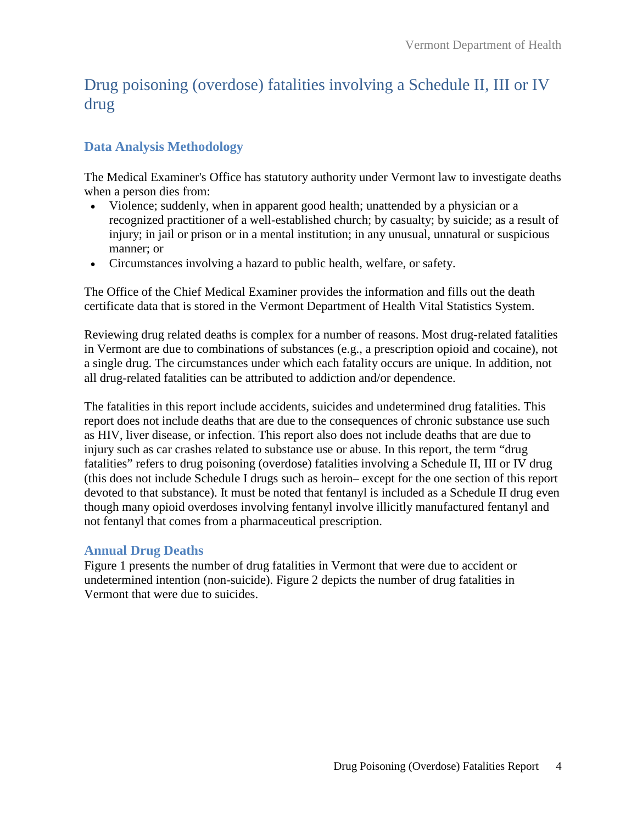### <span id="page-3-0"></span>Drug poisoning (overdose) fatalities involving a Schedule II, III or IV drug

### <span id="page-3-1"></span>**Data Analysis Methodology**

The Medical Examiner's Office has statutory authority under Vermont law to investigate deaths when a person dies from:

- Violence; suddenly, when in apparent good health; unattended by a physician or a recognized practitioner of a well-established church; by casualty; by suicide; as a result of injury; in jail or prison or in a mental institution; in any unusual, unnatural or suspicious manner; or
- Circumstances involving a hazard to public health, welfare, or safety.

The Office of the Chief Medical Examiner provides the information and fills out the death certificate data that is stored in the Vermont Department of Health Vital Statistics System.

Reviewing drug related deaths is complex for a number of reasons. Most drug-related fatalities in Vermont are due to combinations of substances (e.g., a prescription opioid and cocaine), not a single drug. The circumstances under which each fatality occurs are unique. In addition, not all drug-related fatalities can be attributed to addiction and/or dependence.

The fatalities in this report include accidents, suicides and undetermined drug fatalities. This report does not include deaths that are due to the consequences of chronic substance use such as HIV, liver disease, or infection. This report also does not include deaths that are due to injury such as car crashes related to substance use or abuse. In this report, the term "drug fatalities" refers to drug poisoning (overdose) fatalities involving a Schedule II, III or IV drug (this does not include Schedule I drugs such as heroin– except for the one section of this report devoted to that substance). It must be noted that fentanyl is included as a Schedule II drug even though many opioid overdoses involving fentanyl involve illicitly manufactured fentanyl and not fentanyl that comes from a pharmaceutical prescription.

#### <span id="page-3-2"></span>**Annual Drug Deaths**

Figure 1 presents the number of drug fatalities in Vermont that were due to accident or undetermined intention (non-suicide). Figure 2 depicts the number of drug fatalities in Vermont that were due to suicides.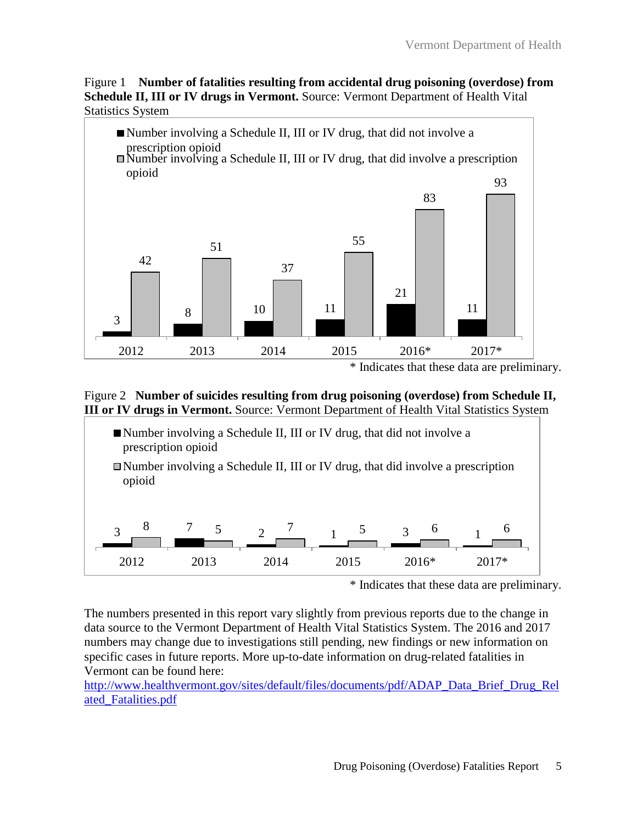Figure 1 **Number of fatalities resulting from accidental drug poisoning (overdose) from Schedule II, III or IV drugs in Vermont.** Source: Vermont Department of Health Vital Statistics System



#### Figure 2 **Number of suicides resulting from drug poisoning (overdose) from Schedule II, III or IV drugs in Vermont.** Source: Vermont Department of Health Vital Statistics System



<sup>\*</sup> Indicates that these data are preliminary.

The numbers presented in this report vary slightly from previous reports due to the change in data source to the Vermont Department of Health Vital Statistics System. The 2016 and 2017 numbers may change due to investigations still pending, new findings or new information on specific cases in future reports. More up-to-date information on drug-related fatalities in Vermont can be found here:

[http://www.healthvermont.gov/sites/default/files/documents/pdf/ADAP\\_Data\\_Brief\\_Drug\\_Rel](http://www.healthvermont.gov/sites/default/files/documents/pdf/ADAP_Data_Brief_Drug_Related_Fatalities.pdf) [ated\\_Fatalities.pdf](http://www.healthvermont.gov/sites/default/files/documents/pdf/ADAP_Data_Brief_Drug_Related_Fatalities.pdf)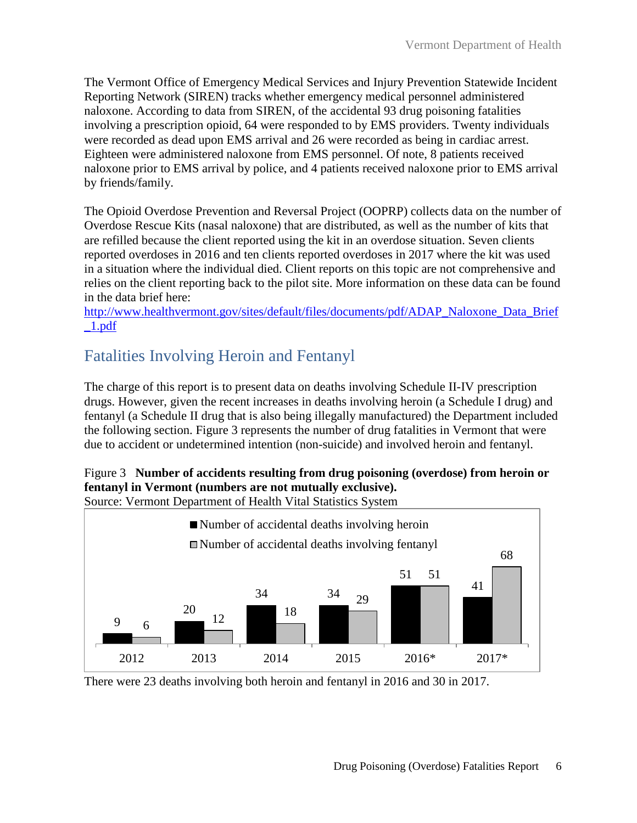The Vermont Office of Emergency Medical Services and Injury Prevention Statewide Incident Reporting Network (SIREN) tracks whether emergency medical personnel administered naloxone. According to data from SIREN, of the accidental 93 drug poisoning fatalities involving a prescription opioid, 64 were responded to by EMS providers. Twenty individuals were recorded as dead upon EMS arrival and 26 were recorded as being in cardiac arrest. Eighteen were administered naloxone from EMS personnel. Of note, 8 patients received naloxone prior to EMS arrival by police, and 4 patients received naloxone prior to EMS arrival by friends/family.

The Opioid Overdose Prevention and Reversal Project (OOPRP) collects data on the number of Overdose Rescue Kits (nasal naloxone) that are distributed, as well as the number of kits that are refilled because the client reported using the kit in an overdose situation. Seven clients reported overdoses in 2016 and ten clients reported overdoses in 2017 where the kit was used in a situation where the individual died. Client reports on this topic are not comprehensive and relies on the client reporting back to the pilot site. More information on these data can be found in the data brief here:

[http://www.healthvermont.gov/sites/default/files/documents/pdf/ADAP\\_Naloxone\\_Data\\_Brief](http://www.healthvermont.gov/sites/default/files/documents/pdf/ADAP_Naloxone_Data_Brief_1.pdf)  $1.pdf$ 

### <span id="page-5-0"></span>Fatalities Involving Heroin and Fentanyl

The charge of this report is to present data on deaths involving Schedule II-IV prescription drugs. However, given the recent increases in deaths involving heroin (a Schedule I drug) and fentanyl (a Schedule II drug that is also being illegally manufactured) the Department included the following section. Figure 3 represents the number of drug fatalities in Vermont that were due to accident or undetermined intention (non-suicide) and involved heroin and fentanyl.

### Figure 3 **Number of accidents resulting from drug poisoning (overdose) from heroin or fentanyl in Vermont (numbers are not mutually exclusive).**

Source: Vermont Department of Health Vital Statistics System



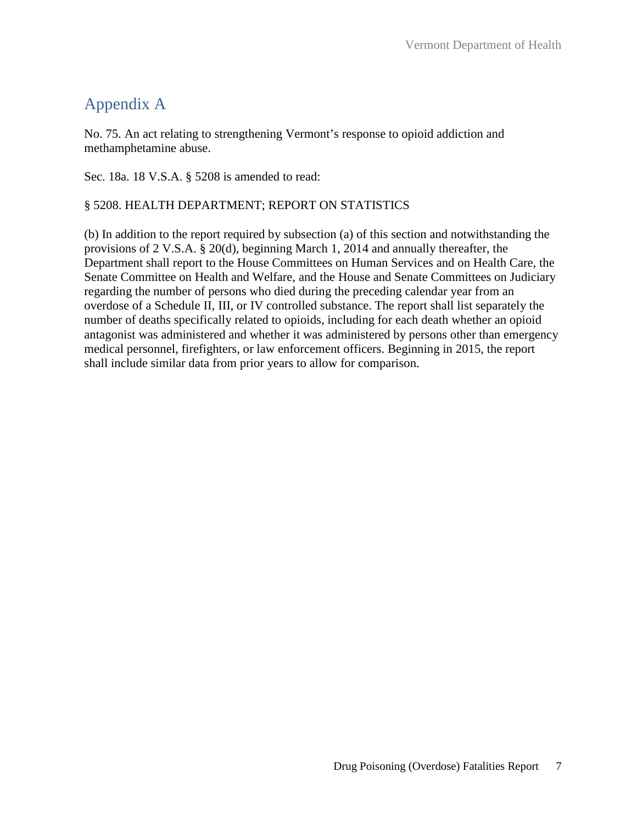# <span id="page-6-0"></span>Appendix A

No. 75. An act relating to strengthening Vermont's response to opioid addiction and methamphetamine abuse.

Sec. 18a. 18 V.S.A. § 5208 is amended to read:

#### § 5208. HEALTH DEPARTMENT; REPORT ON STATISTICS

(b) In addition to the report required by subsection (a) of this section and notwithstanding the provisions of 2 V.S.A. § 20(d), beginning March 1, 2014 and annually thereafter, the Department shall report to the House Committees on Human Services and on Health Care, the Senate Committee on Health and Welfare, and the House and Senate Committees on Judiciary regarding the number of persons who died during the preceding calendar year from an overdose of a Schedule II, III, or IV controlled substance. The report shall list separately the number of deaths specifically related to opioids, including for each death whether an opioid antagonist was administered and whether it was administered by persons other than emergency medical personnel, firefighters, or law enforcement officers. Beginning in 2015, the report shall include similar data from prior years to allow for comparison.